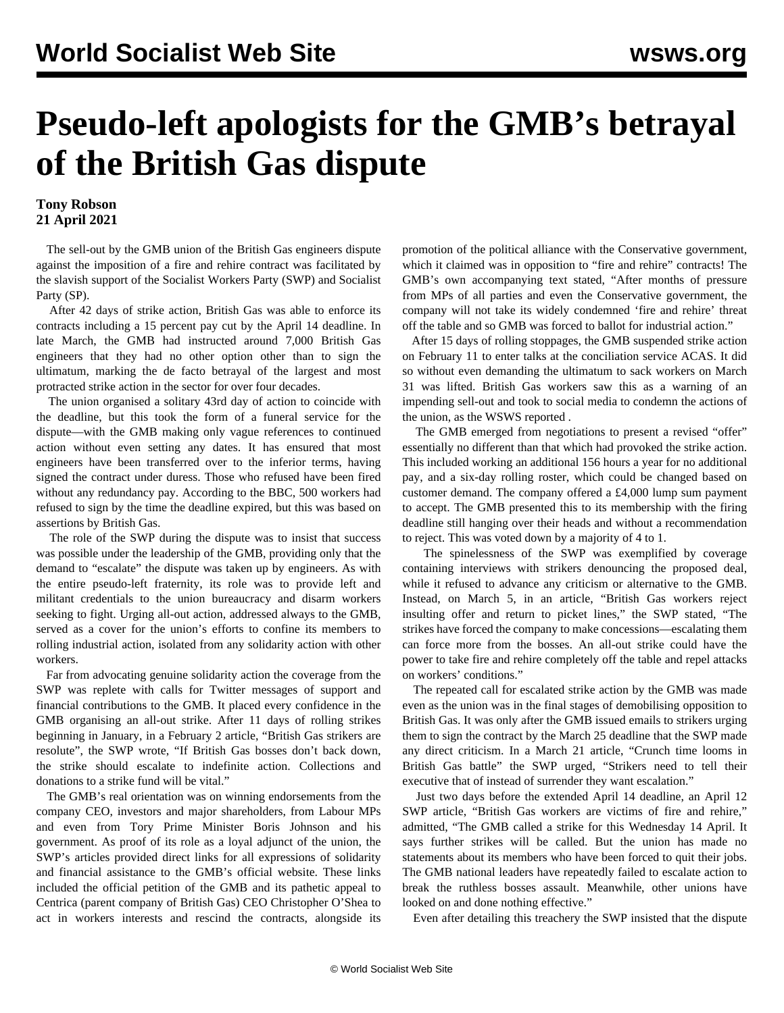## **Pseudo-left apologists for the GMB's betrayal of the British Gas dispute**

## **Tony Robson 21 April 2021**

 The sell-out by the GMB union of the British Gas engineers dispute against the imposition of a fire and rehire contract was facilitated by the slavish support of the Socialist Workers Party (SWP) and Socialist Party (SP).

 After 42 days of strike action, British Gas was able to enforce its contracts including a 15 percent pay cut by the April 14 deadline. In late March, the GMB had instructed around 7,000 British Gas engineers that they had no other option other than to sign the ultimatum, marking the de facto betrayal of the largest and most protracted strike action in the sector for over four decades.

 The union organised a solitary 43rd day of action to coincide with the deadline, but this took the form of a funeral service for the dispute—with the GMB making only vague references to continued action without even setting any dates. It has ensured that most engineers have been transferred over to the inferior terms, having signed the contract under duress. Those who refused have been fired without any redundancy pay. According to the BBC, 500 workers had refused to sign by the time the deadline expired, but this was based on assertions by British Gas.

 The role of the SWP during the dispute was to insist that success was possible under the leadership of the GMB, providing only that the demand to "escalate" the dispute was taken up by engineers. As with the entire pseudo-left fraternity, its role was to provide left and militant credentials to the union bureaucracy and disarm workers seeking to fight. Urging all-out action, addressed always to the GMB, served as a cover for the union's efforts to confine its members to rolling industrial action, isolated from any solidarity action with other workers.

 Far from advocating genuine solidarity action the coverage from the SWP was replete with calls for Twitter messages of support and financial contributions to the GMB. It placed every confidence in the GMB organising an all-out strike. After 11 days of rolling strikes beginning in January, in a February 2 article, "British Gas strikers are resolute", the SWP wrote, "If British Gas bosses don't back down, the strike should escalate to indefinite action. Collections and donations to a strike fund will be vital."

 The GMB's real orientation was on winning endorsements from the company CEO, investors and major shareholders, from Labour MPs and even from Tory Prime Minister Boris Johnson and his government. As proof of its role as a loyal adjunct of the union, the SWP's articles provided direct links for all expressions of solidarity and financial assistance to the GMB's official website. These links included the official petition of the GMB and its pathetic appeal to Centrica (parent company of British Gas) CEO Christopher O'Shea to act in workers interests and rescind the contracts, alongside its

promotion of the political alliance with the Conservative government, which it claimed was in opposition to "fire and rehire" contracts! The GMB's own accompanying text stated, "After months of pressure from MPs of all parties and even the Conservative government, the company will not take its widely condemned 'fire and rehire' threat off the table and so GMB was forced to ballot for industrial action."

 After 15 days of rolling stoppages, the GMB suspended strike action on February 11 to enter talks at the conciliation service ACAS. It did so without even demanding the ultimatum to sack workers on March 31 was lifted. British Gas workers saw this as a warning of an impending sell-out and took to social media to condemn the actions of the union, as the [WSWS reported](/en/articles/2021/02/15/bgas-f15.html) .

 The GMB emerged from negotiations to present a revised "offer" essentially no different than that which had provoked the strike action. This included working an additional 156 hours a year for no additional pay, and a six-day rolling roster, which could be changed based on customer demand. The company offered a £4,000 lump sum payment to accept. The GMB presented this to its membership with the firing deadline still hanging over their heads and without a recommendation to reject. This was voted down by a majority of 4 to 1.

 The spinelessness of the SWP was exemplified by coverage containing interviews with strikers denouncing the proposed deal, while it refused to advance any criticism or alternative to the GMB. Instead, on March 5, in an article, "British Gas workers reject insulting offer and return to picket lines," the SWP stated, "The strikes have forced the company to make concessions—escalating them can force more from the bosses. An all-out strike could have the power to take fire and rehire completely off the table and repel attacks on workers' conditions."

 The repeated call for escalated strike action by the GMB was made even as the union was in the final stages of demobilising opposition to British Gas. It was only after the GMB issued emails to strikers urging them to sign the contract by the March 25 deadline that the SWP made any direct criticism. In a March 21 article, "Crunch time looms in British Gas battle" the SWP urged, "Strikers need to tell their executive that of instead of surrender they want escalation."

 Just two days before the extended April 14 deadline, an April 12 SWP article, "British Gas workers are victims of fire and rehire," admitted, "The GMB called a strike for this Wednesday 14 April. It says further strikes will be called. But the union has made no statements about its members who have been forced to quit their jobs. The GMB national leaders have repeatedly failed to escalate action to break the ruthless bosses assault. Meanwhile, other unions have looked on and done nothing effective."

Even after detailing this treachery the SWP insisted that the dispute